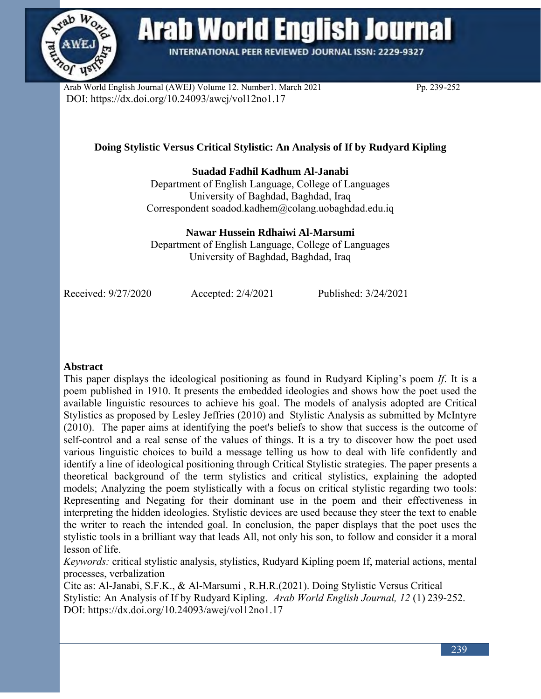

**Arab World English Journal** 

**INTERNATIONAL PEER REVIEWED JOURNAL ISSN: 2229-9327** 

Arab World English Journal (AWEJ) Volume 12. Number1. March 2021 Pp. 239-252 DOI: https://dx.doi.org/10.24093/awej/vol12no1.17

# **Doing Stylistic Versus Critical Stylistic: An Analysis of If by Rudyard Kipling**

## **Suadad Fadhil Kadhum Al-Janabi**

Department of English Language, College of Languages University of Baghdad, Baghdad, Iraq Correspondent [soadod.kadhem@colang.uobaghdad.edu.iq](mailto:soadod.kadhem@colang.uobaghdad.edu.iq)

**Nawar Hussein Rdhaiwi Al-Marsumi**

Department of English Language, College of Languages University of Baghdad, Baghdad, Iraq

Received: 9/27/2020 Accepted: 2/4/2021 Published: 3/24/2021

## **Abstract**

This paper displays the ideological positioning as found in Rudyard Kipling's poem *If*. It is a poem published in 1910. It presents the embedded ideologies and shows how the poet used the available linguistic resources to achieve his goal. The models of analysis adopted are Critical Stylistics as proposed by Lesley Jeffries (2010) and Stylistic Analysis as submitted by McIntyre (2010). The paper aims at identifying the poet's beliefs to show that success is the outcome of self-control and a real sense of the values of things. It is a try to discover how the poet used various linguistic choices to build a message telling us how to deal with life confidently and identify a line of ideological positioning through Critical Stylistic strategies. The paper presents a theoretical background of the term stylistics and critical stylistics, explaining the adopted models; Analyzing the poem stylistically with a focus on critical stylistic regarding two tools: Representing and Negating for their dominant use in the poem and their effectiveness in interpreting the hidden ideologies. Stylistic devices are used because they steer the text to enable the writer to reach the intended goal. In conclusion, the paper displays that the poet uses the stylistic tools in a brilliant way that leads All, not only his son, to follow and consider it a moral lesson of life.

*Keywords:* critical stylistic analysis, stylistics, Rudyard Kipling poem If, material actions, mental processes, verbalization

Cite as: Al-Janabi, S.F.K., & Al-Marsumi , R.H.R.(2021). Doing Stylistic Versus Critical Stylistic: An Analysis of If by Rudyard Kipling. *Arab World English Journal, 12* (1) 239-252. DOI: https://dx.doi.org/10.24093/awej/vol12no1.17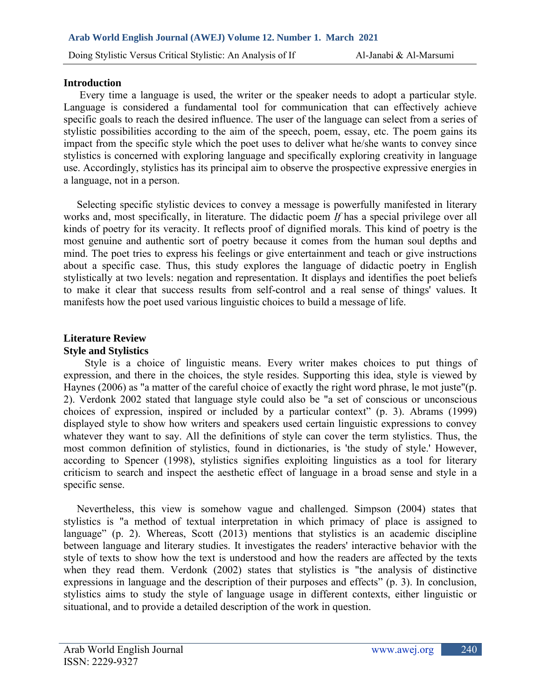#### **Introduction**

 Every time a language is used, the writer or the speaker needs to adopt a particular style. Language is considered a fundamental tool for communication that can effectively achieve specific goals to reach the desired influence. The user of the language can select from a series of stylistic possibilities according to the aim of the speech, poem, essay, etc. The poem gains its impact from the specific style which the poet uses to deliver what he/she wants to convey since stylistics is concerned with exploring language and specifically exploring creativity in language use. Accordingly, stylistics has its principal aim to observe the prospective expressive energies in a language, not in a person.

 Selecting specific stylistic devices to convey a message is powerfully manifested in literary works and, most specifically, in literature. The didactic poem *If* has a special privilege over all kinds of poetry for its veracity. It reflects proof of dignified morals. This kind of poetry is the most genuine and authentic sort of poetry because it comes from the human soul depths and mind. The poet tries to express his feelings or give entertainment and teach or give instructions about a specific case. Thus, this study explores the language of didactic poetry in English stylistically at two levels: negation and representation. It displays and identifies the poet beliefs to make it clear that success results from self-control and a real sense of things' values. It manifests how the poet used various linguistic choices to build a message of life.

## **Literature Review Style and Stylistics**

 Style is a choice of linguistic means. Every writer makes choices to put things of expression, and there in the choices, the style resides. Supporting this idea, style is viewed by Haynes (2006) as "a matter of the careful choice of exactly the right word phrase, le mot juste"(p. 2). Verdonk 2002 stated that language style could also be "a set of conscious or unconscious choices of expression, inspired or included by a particular context" (p. 3). Abrams (1999) displayed style to show how writers and speakers used certain linguistic expressions to convey whatever they want to say. All the definitions of style can cover the term stylistics. Thus, the most common definition of stylistics, found in dictionaries, is 'the study of style.' However, according to Spencer (1998), stylistics signifies exploiting linguistics as a tool for literary criticism to search and inspect the aesthetic effect of language in a broad sense and style in a specific sense.

 Nevertheless, this view is somehow vague and challenged. Simpson (2004) states that stylistics is "a method of textual interpretation in which primacy of place is assigned to language" (p. 2). Whereas, Scott (2013) mentions that stylistics is an academic discipline between language and literary studies. It investigates the readers' interactive behavior with the style of texts to show how the text is understood and how the readers are affected by the texts when they read them. Verdonk (2002) states that stylistics is "the analysis of distinctive expressions in language and the description of their purposes and effects" (p. 3). In conclusion, stylistics aims to study the style of language usage in different contexts, either linguistic or situational, and to provide a detailed description of the work in question.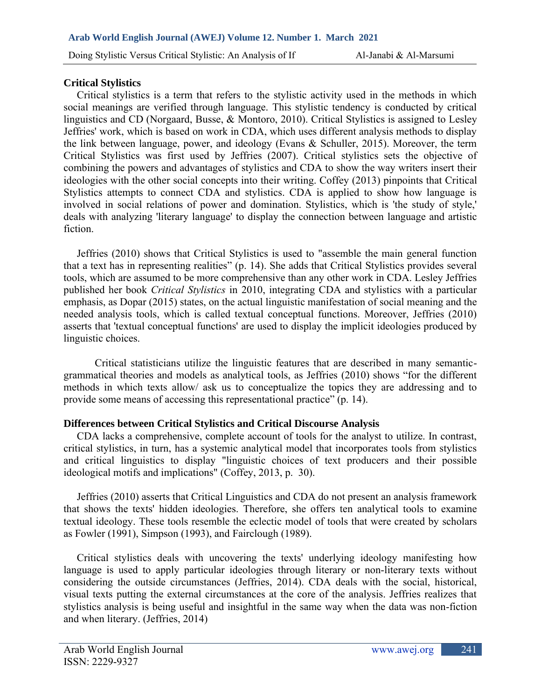## **Critical Stylistics**

 Critical stylistics is a term that refers to the stylistic activity used in the methods in which social meanings are verified through language. This stylistic tendency is conducted by critical linguistics and CD (Norgaard, Busse, & Montoro, 2010). Critical Stylistics is assigned to Lesley Jeffries' work, which is based on work in CDA, which uses different analysis methods to display the link between language, power, and ideology (Evans & Schuller, 2015). Moreover, the term Critical Stylistics was first used by Jeffries (2007). Critical stylistics sets the objective of combining the powers and advantages of stylistics and CDA to show the way writers insert their ideologies with the other social concepts into their writing. Coffey (2013) pinpoints that Critical Stylistics attempts to connect CDA and stylistics. CDA is applied to show how language is involved in social relations of power and domination. Stylistics, which is 'the study of style,' deals with analyzing 'literary language' to display the connection between language and artistic fiction.

 Jeffries (2010) shows that Critical Stylistics is used to "assemble the main general function that a text has in representing realities" (p. 14). She adds that Critical Stylistics provides several tools, which are assumed to be more comprehensive than any other work in CDA. Lesley Jeffries published her book *Critical Stylistics* in 2010, integrating CDA and stylistics with a particular emphasis, as Dopar (2015) states, on the actual linguistic manifestation of social meaning and the needed analysis tools, which is called textual conceptual functions. Moreover, Jeffries (2010) asserts that 'textual conceptual functions' are used to display the implicit ideologies produced by linguistic choices.

Critical statisticians utilize the linguistic features that are described in many semanticgrammatical theories and models as analytical tools, as Jeffries (2010) shows "for the different methods in which texts allow/ ask us to conceptualize the topics they are addressing and to provide some means of accessing this representational practice" (p. 14).

#### **Differences between Critical Stylistics and Critical Discourse Analysis**

 CDA lacks a comprehensive, complete account of tools for the analyst to utilize. In contrast, critical stylistics, in turn, has a systemic analytical model that incorporates tools from stylistics and critical linguistics to display "linguistic choices of text producers and their possible ideological motifs and implications" (Coffey, 2013, p. 30).

 Jeffries (2010) asserts that Critical Linguistics and CDA do not present an analysis framework that shows the texts' hidden ideologies. Therefore, she offers ten analytical tools to examine textual ideology. These tools resemble the eclectic model of tools that were created by scholars as Fowler (1991), Simpson (1993), and Fairclough (1989).

 Critical stylistics deals with uncovering the texts' underlying ideology manifesting how language is used to apply particular ideologies through literary or non-literary texts without considering the outside circumstances (Jeffries, 2014). CDA deals with the social, historical, visual texts putting the external circumstances at the core of the analysis. Jeffries realizes that stylistics analysis is being useful and insightful in the same way when the data was non-fiction and when literary. (Jeffries, 2014)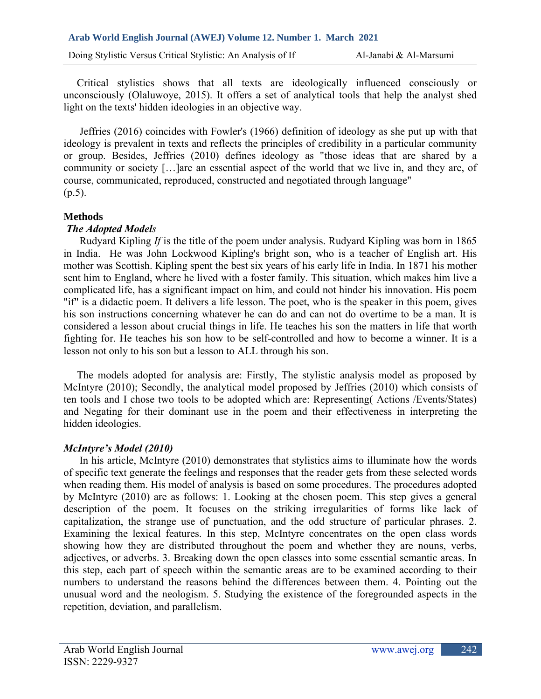Critical stylistics shows that all texts are ideologically influenced consciously or unconsciously (Olaluwoye, 2015). It offers a set of analytical tools that help the analyst shed light on the texts' hidden ideologies in an objective way.

 Jeffries (2016) coincides with Fowler's (1966) definition of ideology as she put up with that ideology is prevalent in texts and reflects the principles of credibility in a particular community or group. Besides, Jeffries (2010) defines ideology as "those ideas that are shared by a community or society […]are an essential aspect of the world that we live in, and they are, of course, communicated, reproduced, constructed and negotiated through language"  $(p.5)$ .

## **Methods**

## *The Adopted Models*

 Rudyard Kipling *If* is the title of the poem under analysis. Rudyard Kipling was born in 1865 in India. He was John Lockwood Kipling's bright son, who is a teacher of English art. His mother was Scottish. Kipling spent the best six years of his early life in India. In 1871 his mother sent him to England, where he lived with a foster family. This situation, which makes him live a complicated life, has a significant impact on him, and could not hinder his innovation. His poem "if" is a didactic poem. It delivers a life lesson. The poet, who is the speaker in this poem, gives his son instructions concerning whatever he can do and can not do overtime to be a man. It is considered a lesson about crucial things in life. He teaches his son the matters in life that worth fighting for. He teaches his son how to be self-controlled and how to become a winner. It is a lesson not only to his son but a lesson to ALL through his son.

 The models adopted for analysis are: Firstly, The stylistic analysis model as proposed by McIntyre (2010); Secondly, the analytical model proposed by Jeffries (2010) which consists of ten tools and I chose two tools to be adopted which are: Representing( Actions /Events/States) and Negating for their dominant use in the poem and their effectiveness in interpreting the hidden ideologies.

## *McIntyre's Model (2010)*

 In his article, McIntyre (2010) demonstrates that stylistics aims to illuminate how the words of specific text generate the feelings and responses that the reader gets from these selected words when reading them. His model of analysis is based on some procedures. The procedures adopted by McIntyre (2010) are as follows: 1. Looking at the chosen poem. This step gives a general description of the poem. It focuses on the striking irregularities of forms like lack of capitalization, the strange use of punctuation, and the odd structure of particular phrases. 2. Examining the lexical features. In this step, McIntyre concentrates on the open class words showing how they are distributed throughout the poem and whether they are nouns, verbs, adjectives, or adverbs. 3. Breaking down the open classes into some essential semantic areas. In this step, each part of speech within the semantic areas are to be examined according to their numbers to understand the reasons behind the differences between them. 4. Pointing out the unusual word and the neologism. 5. Studying the existence of the foregrounded aspects in the repetition, deviation, and parallelism.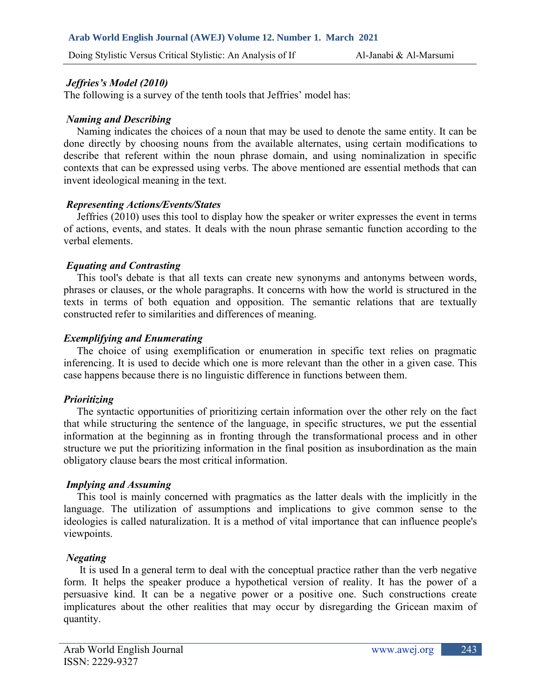## *Jeffries's Model (2010)*

The following is a survey of the tenth tools that Jeffries' model has:

## *Naming and Describing*

 Naming indicates the choices of a noun that may be used to denote the same entity. It can be done directly by choosing nouns from the available alternates, using certain modifications to describe that referent within the noun phrase domain, and using nominalization in specific contexts that can be expressed using verbs. The above mentioned are essential methods that can invent ideological meaning in the text.

## *Representing Actions/Events/States*

 Jeffries (2010) uses this tool to display how the speaker or writer expresses the event in terms of actions, events, and states. It deals with the noun phrase semantic function according to the verbal elements.

## *Equating and Contrasting*

 This tool's debate is that all texts can create new synonyms and antonyms between words, phrases or clauses, or the whole paragraphs. It concerns with how the world is structured in the texts in terms of both equation and opposition. The semantic relations that are textually constructed refer to similarities and differences of meaning.

## *Exemplifying and Enumerating*

 The choice of using exemplification or enumeration in specific text relies on pragmatic inferencing. It is used to decide which one is more relevant than the other in a given case. This case happens because there is no linguistic difference in functions between them.

## *Prioritizing*

 The syntactic opportunities of prioritizing certain information over the other rely on the fact that while structuring the sentence of the language, in specific structures, we put the essential information at the beginning as in fronting through the transformational process and in other structure we put the prioritizing information in the final position as insubordination as the main obligatory clause bears the most critical information.

#### *Implying and Assuming*

 This tool is mainly concerned with pragmatics as the latter deals with the implicitly in the language. The utilization of assumptions and implications to give common sense to the ideologies is called naturalization. It is a method of vital importance that can influence people's viewpoints.

#### *Negating*

 It is used In a general term to deal with the conceptual practice rather than the verb negative form. It helps the speaker produce a hypothetical version of reality. It has the power of a persuasive kind. It can be a negative power or a positive one. Such constructions create implicatures about the other realities that may occur by disregarding the Gricean maxim of quantity.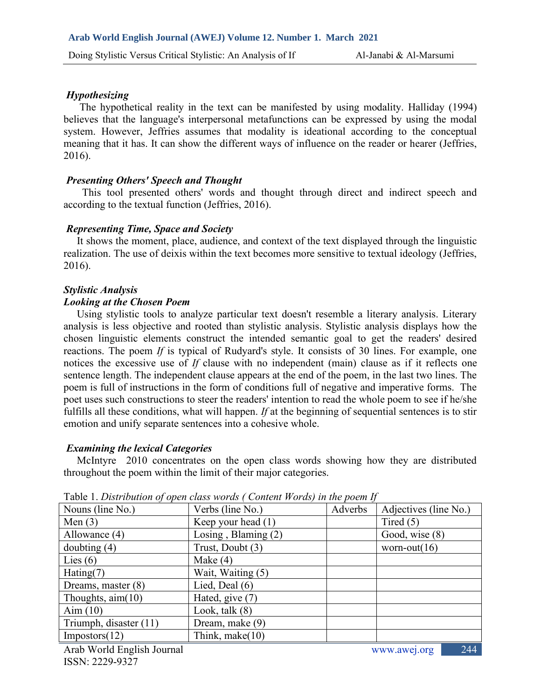### *Hypothesizing*

 The hypothetical reality in the text can be manifested by using modality. Halliday (1994) believes that the language's interpersonal metafunctions can be expressed by using the modal system. However, Jeffries assumes that modality is ideational according to the conceptual meaning that it has. It can show the different ways of influence on the reader or hearer (Jeffries, 2016).

## *Presenting Others' Speech and Thought*

 This tool presented others' words and thought through direct and indirect speech and according to the textual function (Jeffries, 2016).

## *Representing Time, Space and Society*

 It shows the moment, place, audience, and context of the text displayed through the linguistic realization. The use of deixis within the text becomes more sensitive to textual ideology (Jeffries, 2016).

## *Stylistic Analysis*

#### *Looking at the Chosen Poem*

 Using stylistic tools to analyze particular text doesn't resemble a literary analysis. Literary analysis is less objective and rooted than stylistic analysis. Stylistic analysis displays how the chosen linguistic elements construct the intended semantic goal to get the readers' desired reactions. The poem *If* is typical of Rudyard's style. It consists of 30 lines. For example, one notices the excessive use of *If* clause with no independent (main) clause as if it reflects one sentence length. The independent clause appears at the end of the poem, in the last two lines. The poem is full of instructions in the form of conditions full of negative and imperative forms. The poet uses such constructions to steer the readers' intention to read the whole poem to see if he/she fulfills all these conditions, what will happen. *If* at the beginning of sequential sentences is to stir emotion and unify separate sentences into a cohesive whole.

#### *Examining the lexical Categories*

 McIntyre 2010 concentrates on the open class words showing how they are distributed throughout the poem within the limit of their major categories.

| Nouns (line No.)           | Verbs (line No.)      | Adverbs | Adjectives (line No.) |
|----------------------------|-----------------------|---------|-----------------------|
| Men $(3)$                  | Keep your head (1)    |         | Tired $(5)$           |
| Allowance (4)              | Losing, Blaming $(2)$ |         | Good, wise (8)        |
| doubting $(4)$             | Trust, Doubt (3)      |         | worn-out $(16)$       |
| Lies $(6)$                 | Make $(4)$            |         |                       |
| Hating(7)                  | Wait, Waiting (5)     |         |                       |
| Dreams, master $(8)$       | Lied, Deal $(6)$      |         |                       |
| Thoughts, $\text{aim}(10)$ | Hated, give (7)       |         |                       |
| Aim $(10)$                 | Look, talk $(8)$      |         |                       |
| Triumph, disaster (11)     | Dream, make (9)       |         |                       |
| Impostors(12)              | Think, make(10)       |         |                       |
| $\lambda$ 1 W 11 m 11 1 T  |                       |         | $\bigcap$ $\bigcap$   |

Table 1. *Distribution of open class words ( Content Words) in the poem If*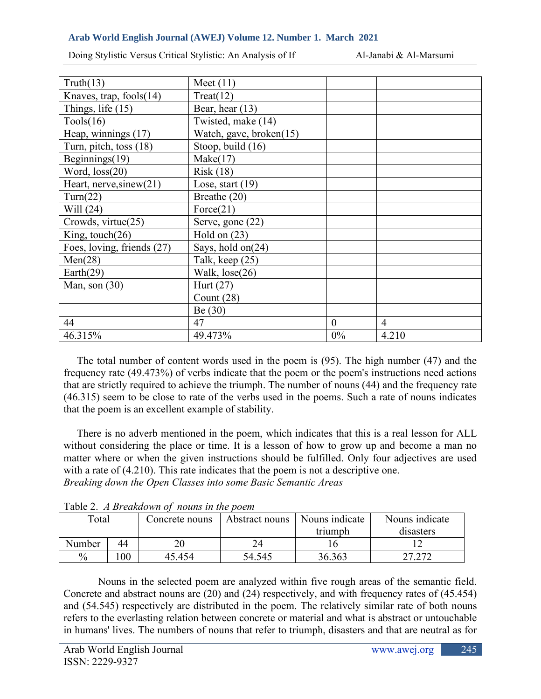Doing Stylistic Versus Critical Stylistic: An Analysis of If Al-Janabi & Al-Marsumi

| Truth(13)                  | Meet $(11)$             |                |                |
|----------------------------|-------------------------|----------------|----------------|
| Knaves, trap, fools(14)    | Treat(12)               |                |                |
| Things, life $(15)$        | Bear, hear $(13)$       |                |                |
| Tools(16)                  | Twisted, make (14)      |                |                |
| Heap, winnings (17)        | Watch, gave, broken(15) |                |                |
| Turn, pitch, toss (18)     | Stoop, build (16)       |                |                |
| Beginnings $(19)$          | Make(17)                |                |                |
| Word, loss(20)             | Risk(18)                |                |                |
| Heart, nerve, sinew $(21)$ | Lose, start $(19)$      |                |                |
| Turn(22)                   | Breathe (20)            |                |                |
| Will (24)                  | Force(21)               |                |                |
| Crowds, virtue(25)         | Serve, gone (22)        |                |                |
| King, touch(26)            | Hold on $(23)$          |                |                |
| Foes, loving, friends (27) | Says, hold on(24)       |                |                |
| Men(28)                    | Talk, keep (25)         |                |                |
| Earth $(29)$               | Walk, lose(26)          |                |                |
| Man, son $(30)$            | Hurt $(27)$             |                |                |
|                            | Count $(28)$            |                |                |
|                            | Be $(30)$               |                |                |
| 44                         | 47                      | $\overline{0}$ | $\overline{4}$ |
| 46.315%                    | 49.473%                 | $0\%$          | 4.210          |

 The total number of content words used in the poem is (95). The high number (47) and the frequency rate (49.473%) of verbs indicate that the poem or the poem's instructions need actions that are strictly required to achieve the triumph. The number of nouns (44) and the frequency rate (46.315) seem to be close to rate of the verbs used in the poems. Such a rate of nouns indicates that the poem is an excellent example of stability.

 There is no adverb mentioned in the poem, which indicates that this is a real lesson for ALL without considering the place or time. It is a lesson of how to grow up and become a man no matter where or when the given instructions should be fulfilled. Only four adjectives are used with a rate of  $(4.210)$ . This rate indicates that the poem is not a descriptive one. *Breaking down the Open Classes into some Basic Semantic Areas*

|               |    | rabic 2. A <i>Dreamaown</i> of <i>nouns in the poem</i> |                |                |                |
|---------------|----|---------------------------------------------------------|----------------|----------------|----------------|
| Total         |    | Concrete nouns                                          | Abstract nouns | Nouns indicate | Nouns indicate |
|               |    |                                                         |                | triumph        | disasters      |
| Number        | 44 |                                                         |                |                |                |
| $\frac{0}{0}$ | 00 | 45454                                                   | 54.545         | 36.363         | 27.272         |

Table 2. *A Breakdown of nouns in the poem*

Nouns in the selected poem are analyzed within five rough areas of the semantic field. Concrete and abstract nouns are (20) and (24) respectively, and with frequency rates of (45.454) and (54.545) respectively are distributed in the poem. The relatively similar rate of both nouns refers to the everlasting relation between concrete or material and what is abstract or untouchable in humans' lives. The numbers of nouns that refer to triumph, disasters and that are neutral as for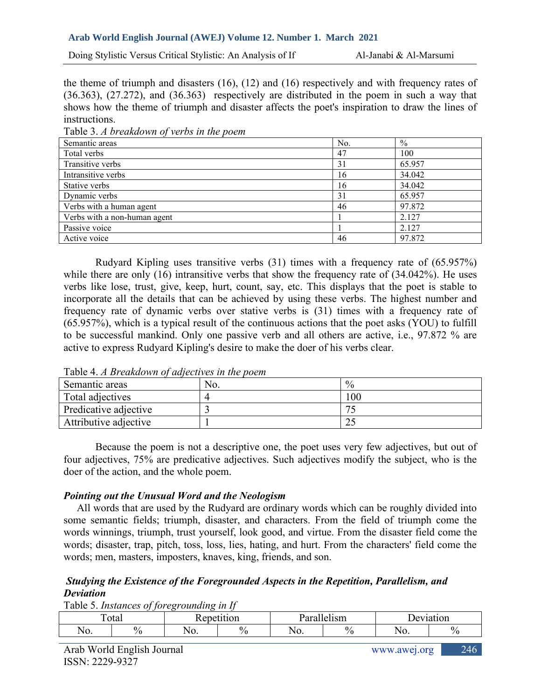Doing Stylistic Versus Critical Stylistic: An Analysis of If Al-Janabi & Al-Marsumi

the theme of triumph and disasters (16), (12) and (16) respectively and with frequency rates of (36.363), (27.272), and (36.363) respectively are distributed in the poem in such a way that shows how the theme of triumph and disaster affects the poet's inspiration to draw the lines of instructions.

| $\sim$ wore client of everyone and $\sim$ , which end of the power $\sim$ |     |        |
|---------------------------------------------------------------------------|-----|--------|
| Semantic areas                                                            | No. | $\%$   |
| Total verbs                                                               | 47  | 100    |
| Transitive verbs                                                          | 31  | 65.957 |
| Intransitive verbs                                                        | 16  | 34.042 |
| Stative verbs                                                             | 16  | 34.042 |
| Dynamic verbs                                                             | 31  | 65.957 |
| Verbs with a human agent                                                  | 46  | 97.872 |
| Verbs with a non-human agent                                              |     | 2.127  |
| Passive voice                                                             |     | 2.127  |
| Active voice                                                              | 46  | 97.872 |

Table 3. *A breakdown of verbs in the poem*

Rudyard Kipling uses transitive verbs (31) times with a frequency rate of (65.957%) while there are only (16) intransitive verbs that show the frequency rate of (34.042%). He uses verbs like lose, trust, give, keep, hurt, count, say, etc. This displays that the poet is stable to incorporate all the details that can be achieved by using these verbs. The highest number and frequency rate of dynamic verbs over stative verbs is (31) times with a frequency rate of (65.957%), which is a typical result of the continuous actions that the poet asks (YOU) to fulfill to be successful mankind. Only one passive verb and all others are active, i.e., 97.872 % are active to express Rudyard Kipling's desire to make the doer of his verbs clear.

| .                     |     |               |
|-----------------------|-----|---------------|
| Semantic areas        | No. | $^{0}\!/_{0}$ |
| Total adjectives      |     | 100           |
| Predicative adjective |     |               |
| Attributive adjective |     |               |

Table 4. *A Breakdown of adjectives in the poem*

Because the poem is not a descriptive one, the poet uses very few adjectives, but out of four adjectives, 75% are predicative adjectives. Such adjectives modify the subject, who is the doer of the action, and the whole poem.

#### *Pointing out the Unusual Word and the Neologism*

 All words that are used by the Rudyard are ordinary words which can be roughly divided into some semantic fields; triumph, disaster, and characters. From the field of triumph come the words winnings, triumph, trust yourself, look good, and virtue. From the disaster field come the words; disaster, trap, pitch, toss, loss, lies, hating, and hurt. From the characters' field come the words; men, masters, imposters, knaves, king, friends, and son.

## *Studying the Existence of the Foregrounded Aspects in the Repetition, Parallelism, and Deviation*

Table 5. *Instances of foregrounding in If*

| $\mathbf{m}$ | ັັ<br>' otal | $\rho$ n $\rho^*$<br> | .<br>,,, | . In   | $\sim$ |            | 'on      |
|--------------|--------------|-----------------------|----------|--------|--------|------------|----------|
| INU.         | <br>∕0       | N.<br>11 V.           | 0/2      | 1 I V. | .,     | ◥<br>11 V. | Ω,<br>'n |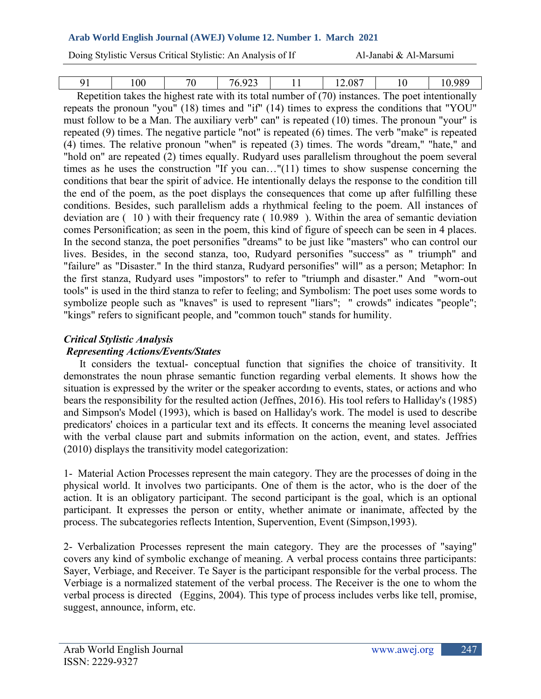Doing Stylistic Versus Critical Stylistic: An Analysis of If Al-Janabi & Al-Marsumi

| 91 | 100 | 70 | 76.923 | 11 | 12.087                                                                                                | 10 | 10.989 |
|----|-----|----|--------|----|-------------------------------------------------------------------------------------------------------|----|--------|
|    |     |    |        |    | Repetition takes the highest rate with its total number of $(70)$ instances. The poet intentionally   |    |        |
|    |     |    |        |    | repeats the pronoun "you" (18) times and "if" (14) times to express the conditions that "YOU"         |    |        |
|    |     |    |        |    | must follow to be a Man. The auxiliary verb" can" is repeated (10) times. The pronoun "your" is       |    |        |
|    |     |    |        |    | repeated (9) times. The negative particle "not" is repeated (6) times. The verb "make" is repeated    |    |        |
|    |     |    |        |    | (4) times. The relative pronoun "when" is repeated (3) times. The words "dream," "hate," and          |    |        |
|    |     |    |        |    | "hold on" are repeated (2) times equally. Rudyard uses parallelism throughout the poem several        |    |        |
|    |     |    |        |    | times as he uses the construction "If you can" $(11)$ times to show suspense concerning the           |    |        |
|    |     |    |        |    | conditions that bear the spirit of advice. He intentionally delays the response to the condition till |    |        |
|    |     |    |        |    | the end of the poem, as the poet displays the consequences that come up after fulfilling these        |    |        |
|    |     |    |        |    | conditions. Besides, such parallelism adds a rhythmical feeling to the poem. All instances of         |    |        |
|    |     |    |        |    | deviation are (10) with their frequency rate (10.989). Within the area of semantic deviation          |    |        |
|    |     |    |        |    | comes Personification; as seen in the poem, this kind of figure of speech can be seen in 4 places.    |    |        |
|    |     |    |        |    | In the second stanza, the poet personifies "dreams" to be just like "masters" who can control our     |    |        |
|    |     |    |        |    | lives. Besides, in the second stanza, too, Rudyard personifies "success" as " triumph" and            |    |        |
|    |     |    |        |    | "failure" as "Disaster." In the third stanza, Rudyard personifies" will" as a person; Metaphor: In    |    |        |
|    |     |    |        |    | the first stanza, Rudyard uses "impostors" to refer to "triumph and disaster." And "worn-out          |    |        |
|    |     |    |        |    | tools" is used in the third stanza to refer to feeling; and Symbolism: The poet uses some words to    |    |        |
|    |     |    |        |    | symbolize people such as "knaves" is used to represent "liars"; " crowds" indicates "people";         |    |        |
|    |     |    |        |    | "kings" refers to significant people, and "common touch" stands for humility.                         |    |        |

## *Critical Stylistic Analysis*

## *Representing Actions/Events/States*

 It considers the textual- conceptual function that signifies the choice of transitivity. It demonstrates the noun phrase semantic function regarding verbal elements. It shows how the situation is expressed by the writer or the speaker accordıng to events, states, or actions and who bears the responsibility for the resulted action (Jeffnes, 2016). His tool refers to Halliday's (1985) and Simpson's Model (1993), which is based on Halliday's work. The model is used to describe predicators' choices in a particular text and its effects. It concerns the meaning level associated with the verbal clause part and submits information on the action, event, and states. Jeffries (2010) displays the transitivity model categorization:

1- Material Action Processes represent the main category. They are the processes of doing in the physical world. It involves two participants. One of them is the actor, who is the doer of the action. It is an obligatory participant. The second participant is the goal, which is an optional participant. It expresses the person or entity, whether animate or inanimate, affected by the process. The subcategories reflects Intention, Supervention, Event (Simpson,1993).

2- Verbalization Processes represent the main category. They are the processes of "saying" covers any kind of symbolic exchange of meaning. A verbal process contains three participants: Sayer, Verbiage, and Receiver. Te Sayer is the participant responsible for the verbal process. The Verbiage is a normalized statement of the verbal process. The Receiver is the one to whom the verbal process is directed (Eggins, 2004). This type of process includes verbs like tell, promise, suggest, announce, inform, etc.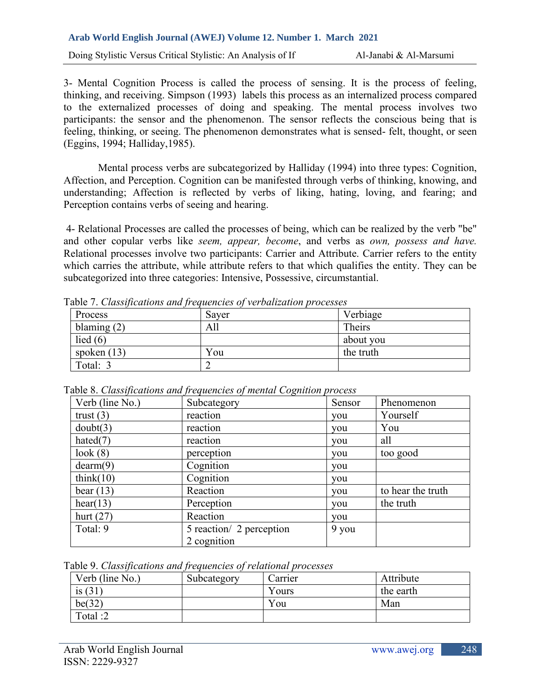3- Mental Cognition Process is called the process of sensing. It is the process of feeling, thinking, and receiving. Simpson (1993) labels this process as an internalized process compared to the externalized processes of doing and speaking. The mental process involves two participants: the sensor and the phenomenon. The sensor reflects the conscious being that is feeling, thinking, or seeing. The phenomenon demonstrates what is sensed- felt, thought, or seen (Eggins, 1994; Halliday,1985).

Mental process verbs are subcategorized by Halliday (1994) into three types: Cognition, Affection, and Perception. Cognition can be manifested through verbs of thinking, knowing, and understanding; Affection is reflected by verbs of liking, hating, loving, and fearing; and Perception contains verbs of seeing and hearing.

4- Relational Processes are called the processes of being, which can be realized by the verb "be" and other copular verbs like *seem, appear, become*, and verbs as *own, possess and have.* Relational processes involve two participants: Carrier and Attribute. Carrier refers to the entity which carries the attribute, while attribute refers to that which qualifies the entity. They can be subcategorized into three categories: Intensive, Possessive, circumstantial.

|               | <u>uote</u> 1. Chrossipornomo rinri progriencios of for ornizantoni processes |           |
|---------------|-------------------------------------------------------------------------------|-----------|
| Process       | Saver                                                                         | Verbiage  |
| blaming $(2)$ | Alı                                                                           | Theirs    |
| lied $(6)$    |                                                                               | about you |
| spoken $(13)$ | You                                                                           | the truth |
| Total: 3      |                                                                               |           |

Table 7. *Classifications and frequencies of verbalization processes*

|                 | able 8. Classifications and frequencies of mental Cognition process |        |                   |
|-----------------|---------------------------------------------------------------------|--------|-------------------|
| Verb (line No.) | Subcategory                                                         | Sensor | Phenomenon        |
| trust $(3)$     | reaction                                                            | you    | Yourself          |
| doubt(3)        | reaction                                                            | you    | You               |
| hated $(7)$     | reaction                                                            | you    | all               |
| look(8)         | perception                                                          | you    | too good          |
| dearm(9)        | Cognition                                                           | you    |                   |
| think $(10)$    | Cognition                                                           | you    |                   |
| bear $(13)$     | Reaction                                                            | you    | to hear the truth |
| hear(13)        | Perception                                                          | you    | the truth         |
| hurt $(27)$     | Reaction                                                            | you    |                   |
| Total: 9        | 5 reaction/ 2 perception<br>2 cognition                             | 9 you  |                   |

Table 8. *Classifications and frequencies of mental Cognition process*

|  | Table 9. Classifications and frequencies of relational processes |  |  |  |
|--|------------------------------------------------------------------|--|--|--|
|--|------------------------------------------------------------------|--|--|--|

| Verb (line No.) | Subcategory | Jarrier | Attribute |
|-----------------|-------------|---------|-----------|
| is $(31)$       |             | Yours   | the earth |
| be(32)          |             | You     | Man       |
| Total:2         |             |         |           |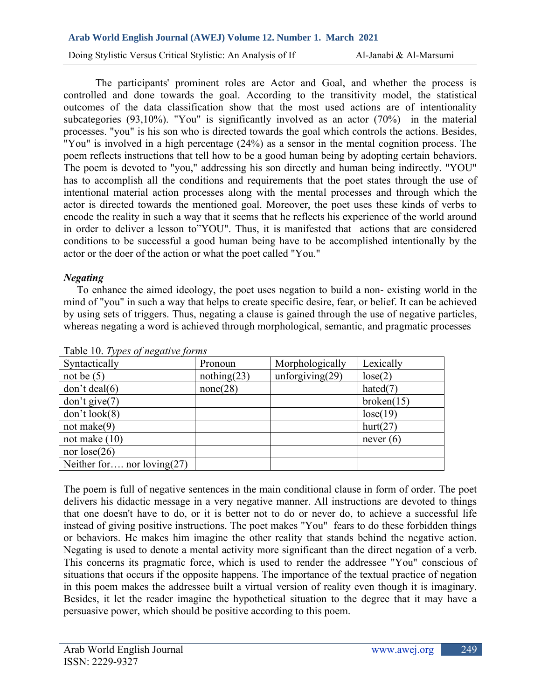Doing Stylistic Versus Critical Stylistic: An Analysis of If Al-Janabi & Al-Marsumi

The participants' prominent roles are Actor and Goal, and whether the process is controlled and done towards the goal. According to the transitivity model, the statistical outcomes of the data classification show that the most used actions are of intentionality subcategories (93,10%). "You" is significantly involved as an actor (70%) in the material processes. "you" is his son who is directed towards the goal which controls the actions. Besides, "You" is involved in a high percentage (24%) as a sensor in the mental cognition process. The poem reflects instructions that tell how to be a good human being by adopting certain behaviors. The poem is devoted to "you," addressing his son directly and human being indirectly. "YOU" has to accomplish all the conditions and requirements that the poet states through the use of intentional material action processes along with the mental processes and through which the actor is directed towards the mentioned goal. Moreover, the poet uses these kinds of verbs to encode the reality in such a way that it seems that he reflects his experience of the world around in order to deliver a lesson to"YOU". Thus, it is manifested that actions that are considered conditions to be successful a good human being have to be accomplished intentionally by the actor or the doer of the action or what the poet called "You."

## *Negating*

 To enhance the aimed ideology, the poet uses negation to build a non- existing world in the mind of "you" in such a way that helps to create specific desire, fear, or belief. It can be achieved by using sets of triggers. Thus, negating a clause is gained through the use of negative particles, whereas negating a word is achieved through morphological, semantic, and pragmatic processes

| $10.10.1$ ypcs of $n_{\rm c}$ and $n_{\rm c}$ for $n_{\rm s}$ |             |                    |             |
|---------------------------------------------------------------|-------------|--------------------|-------------|
| Syntactically                                                 | Pronoun     | Morphologically    | Lexically   |
| not be $(5)$                                                  | nothing(23) | unforgiving $(29)$ | lose(2)     |
| don't deal(6)                                                 | none(28)    |                    | hated $(7)$ |
| don't give(7)                                                 |             |                    | broken(15)  |
| don't look(8)                                                 |             |                    | lose(19)    |
| not make $(9)$                                                |             |                    | hurt(27)    |
| not make $(10)$                                               |             |                    | never $(6)$ |
| nor $lose(26)$                                                |             |                    |             |
| Neither for nor loving $(27)$                                 |             |                    |             |

Table 10. *Types of negative forms*

The poem is full of negative sentences in the main conditional clause in form of order. The poet delivers his didactic message in a very negative manner. All instructions are devoted to things that one doesn't have to do, or it is better not to do or never do, to achieve a successful life instead of giving positive instructions. The poet makes "You" fears to do these forbidden things or behaviors. He makes him imagine the other reality that stands behind the negative action. Negating is used to denote a mental activity more significant than the direct negation of a verb. This concerns its pragmatic force, which is used to render the addressee "You" conscious of situations that occurs if the opposite happens. The importance of the textual practice of negation in this poem makes the addressee built a virtual version of reality even though it is imaginary. Besides, it let the reader imagine the hypothetical situation to the degree that it may have a persuasive power, which should be positive according to this poem.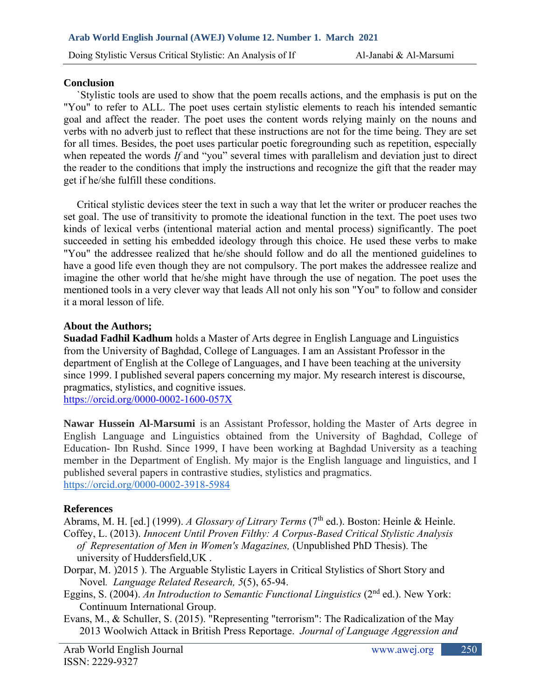#### **Conclusion**

 `Stylistic tools are used to show that the poem recalls actions, and the emphasis is put on the "You" to refer to ALL. The poet uses certain stylistic elements to reach his intended semantic goal and affect the reader. The poet uses the content words relying mainly on the nouns and verbs with no adverb just to reflect that these instructions are not for the time being. They are set for all times. Besides, the poet uses particular poetic foregrounding such as repetition, especially when repeated the words *If* and "you" several times with parallelism and deviation just to direct the reader to the conditions that imply the instructions and recognize the gift that the reader may get if he/she fulfill these conditions.

 Critical stylistic devices steer the text in such a way that let the writer or producer reaches the set goal. The use of transitivity to promote the ideational function in the text. The poet uses two kinds of lexical verbs (intentional material action and mental process) significantly. The poet succeeded in setting his embedded ideology through this choice. He used these verbs to make "You" the addressee realized that he/she should follow and do all the mentioned guidelines to have a good life even though they are not compulsory. The port makes the addressee realize and imagine the other world that he/she might have through the use of negation. The poet uses the mentioned tools in a very clever way that leads All not only his son "You" to follow and consider it a moral lesson of life.

## **About the Authors;**

**Suadad Fadhil Kadhum** holds a Master of Arts degree in English Language and Linguistics from the University of Baghdad, College of Languages. I am an Assistant Professor in the department of English at the College of Languages, and I have been teaching at the university since 1999. I published several papers concerning my major. My research interest is discourse, pragmatics, stylistics, and cognitive issues.

<https://orcid.org/0000-0002-1600-057X>

**Nawar Hussein Al-Marsumi** is an Assistant Professor, holding the Master of Arts degree in English Language and Linguistics obtained from the University of Baghdad, College of Education- Ibn Rushd. Since 1999, I have been working at Baghdad University as a teaching member in the Department of English. My major is the English language and linguistics, and I published several papers in contrastive studies, stylistics and pragmatics. <https://orcid.org/0000-0002-3918-5984>

## **References**

Abrams, M. H. [ed.] (1999). *A Glossary of Litrary Terms* (7<sup>th</sup> ed.). Boston: Heinle & Heinle.

Coffey, L. (2013). *Innocent Until Proven Filthy: A Corpus-Based Critical Stylistic Analysis of Representation of Men in Women's Magazines,* (Unpublished PhD Thesis). The university of Huddersfield,UK .

- Dorpar, M. )2015 ). The Arguable Stylistic Layers in Critical Stylistics of Short Story and Novel*. Language Related Research, 5*(5), 65-94.
- Eggins, S. (2004). *An Introduction to Semantic Functional Linguistics* (2<sup>nd</sup> ed.). New York: Continuum International Group.
- Evans, M., & Schuller, S. (2015). "Representing "terrorism": The Radicalization of the May 2013 Woolwich Attack in British Press Reportage. *Journal of Language Aggression and*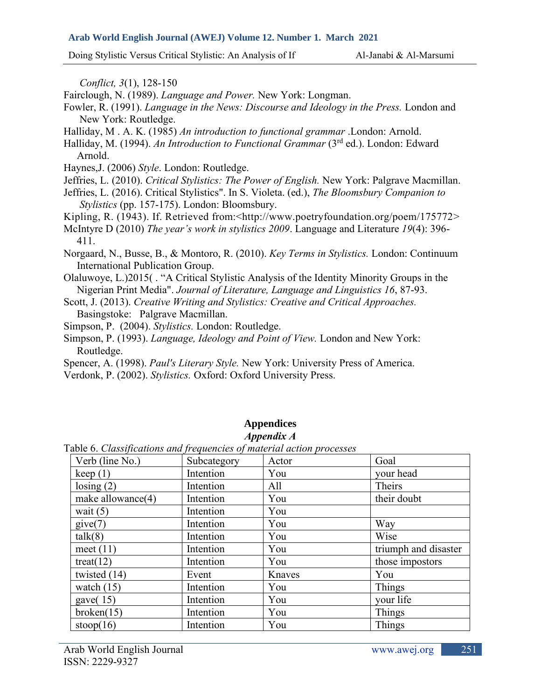Doing Stylistic Versus Critical Stylistic: An Analysis of If Al-Janabi & Al-Marsumi

 *Conflict, 3*(1), 128-150

- Fairclough, N. (1989). *Language and Power.* New York: Longman.
- Fowler, R. (1991). *Language in the News: Discourse and Ideology in the Press.* London and New York: Routledge.
- Halliday, M . A. K. (1985) *An introduction to functional grammar* .London: Arnold.
- Halliday, M. (1994). *An Introduction to Functional Grammar* (3rd ed.). London: Edward Arnold.
- Haynes,J. (2006) *Style*. London: Routledge.
- Jeffries, L. (2010). *Critical Stylistics: The Power of English.* New York: Palgrave Macmillan.
- Jeffries, L. (2016). Critical Stylistics". In S. Violeta. (ed.), *The Bloomsbury Companion to Stylistics* (pp. 157-175). London: Bloomsbury.
- Kipling, R. (1943). If. Retrieved from: < http://www.poetryfoundation.org/poem/175772>
- McIntyre D (2010) *The year's work in stylistics 2009*. Language and Literature *19*(4): 396- 411.
- Norgaard, N., Busse, B., & Montoro, R. (2010). *Key Terms in Stylistics.* London: Continuum International Publication Group.
- Olaluwoye, L.)2015( . "A Critical Stylistic Analysis of the Identity Minority Groups in the Nigerian Print Media". *Journal of Literature, Language and Linguistics 16*, 87-93.
- Scott, J. (2013). *Creative Writing and Stylistics: Creative and Critical Approaches.*  Basingstoke: Palgrave Macmillan.
- Simpson, P. (2004). *Stylistics.* London: Routledge.
- Simpson, P. (1993). *Language, Ideology and Point of View.* London and New York: Routledge.
- Spencer, A. (1998). *Paul's Literary Style.* New York: University Press of America.
- Verdonk, P. (2002). *Stylistics.* Oxford: Oxford University Press.

#### **Appendices**  *Appendix A*

Table 6. *Classifications and frequencies of material action processes*

| Verb (line No.)      | Subcategory | Actor  | Goal                 |
|----------------------|-------------|--------|----------------------|
| keep(1)              | Intention   | You    | your head            |
| $\text{losing} (2)$  | Intention   | All    | Theirs               |
| make allowance $(4)$ | Intention   | You    | their doubt          |
| wait $(5)$           | Intention   | You    |                      |
| give(7)              | Intention   | You    | Way                  |
| talk(8)              | Intention   | You    | Wise                 |
| meet $(11)$          | Intention   | You    | triumph and disaster |
| treat $(12)$         | Intention   | You    | those impostors      |
| twisted $(14)$       | Event       | Knaves | You                  |
| watch $(15)$         | Intention   | You    | Things               |
| gave $(15)$          | Intention   | You    | your life            |
| broken(15)           | Intention   | You    | Things               |
| stoop $(16)$         | Intention   | You    | Things               |